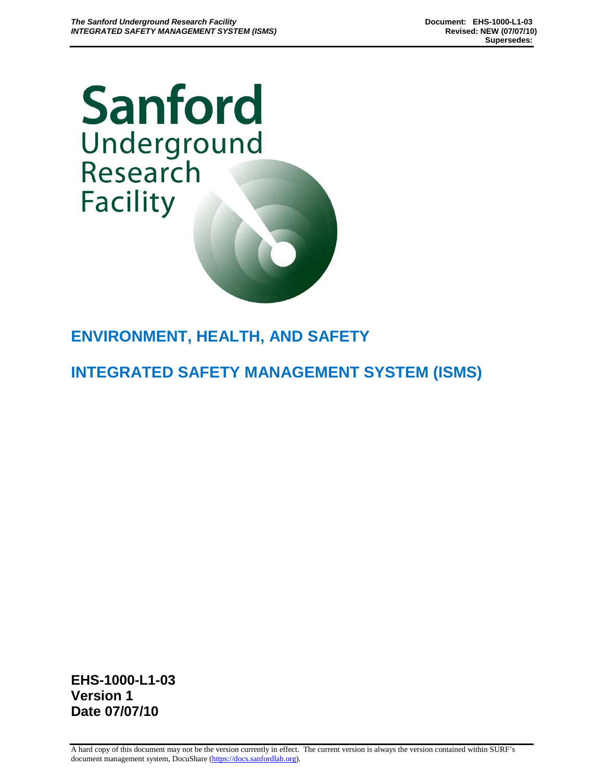Sanford Underground<br>Research **Facility** 

**ENVIRONMENT, HEALTH, AND SAFETY**

**INTEGRATED SAFETY MANAGEMENT SYSTEM (ISMS)**

**EHS-1000-L1-03 Version 1 Date 07/07/10**

A hard copy of this document may not be the version currently in effect. The current version is always the version contained within SURF's document management system, DocuShare [\(https://docs.sanfordlab.org\)](https://docs.sanfordlab.org/).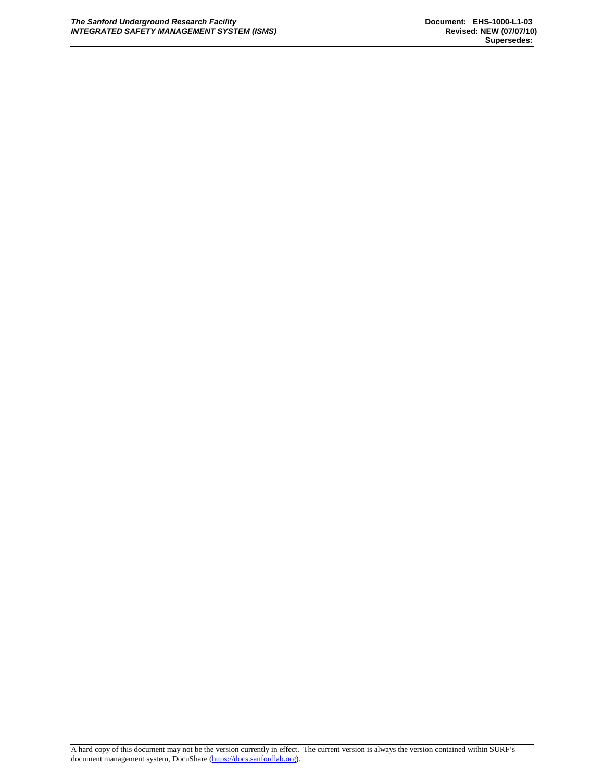A hard copy of this document may not be the version currently in effect. The current version is always the version contained within SURF's document management system, DocuShare [\(https://docs.sanfordlab.org\)](https://docs.sanfordlab.org/).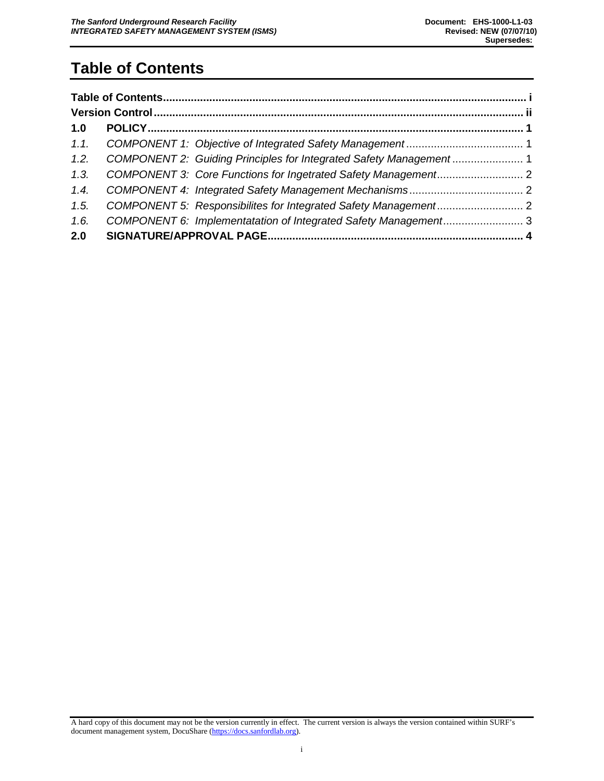# <span id="page-2-0"></span>**Table of Contents**

| 1.0  |  |                                                                    |  |  |  |  |
|------|--|--------------------------------------------------------------------|--|--|--|--|
|      |  |                                                                    |  |  |  |  |
| 1.2. |  | COMPONENT 2: Guiding Principles for Integrated Safety Management 1 |  |  |  |  |
| 1.3. |  |                                                                    |  |  |  |  |
| 1.4. |  |                                                                    |  |  |  |  |
| 1.5. |  |                                                                    |  |  |  |  |
| 1.6. |  | COMPONENT 6: Implementatation of Integrated Safety Management3     |  |  |  |  |
| 2.0  |  |                                                                    |  |  |  |  |

A hard copy of this document may not be the version currently in effect. The current version is always the version contained within SURF's document management system, DocuShare [\(https://docs.sanfordlab.org\)](https://docs.sanfordlab.org/).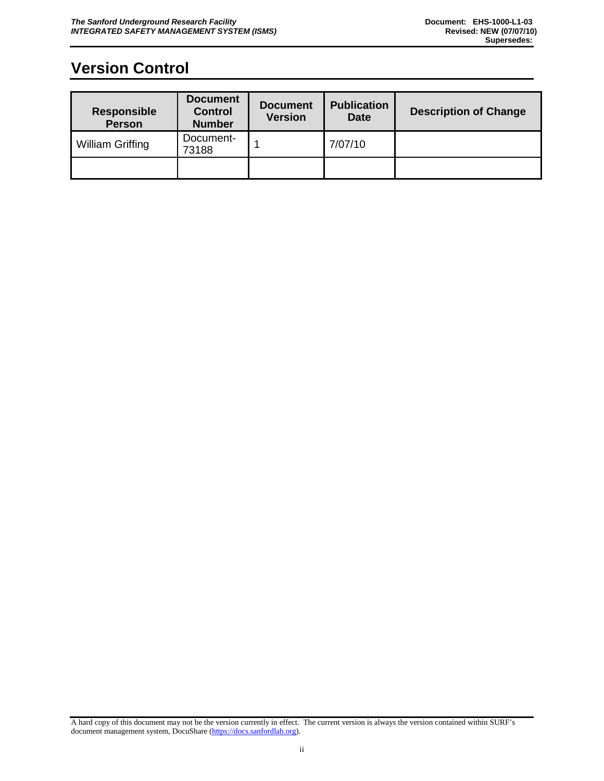# <span id="page-3-0"></span>**Version Control**

| <b>Responsible</b><br><b>Person</b> | <b>Document</b><br><b>Control</b><br><b>Number</b> | <b>Document</b><br><b>Version</b> | <b>Publication</b><br><b>Date</b> | <b>Description of Change</b> |
|-------------------------------------|----------------------------------------------------|-----------------------------------|-----------------------------------|------------------------------|
| <b>William Griffing</b>             | Document-<br>73188                                 |                                   | 7/07/10                           |                              |
|                                     |                                                    |                                   |                                   |                              |

A hard copy of this document may not be the version currently in effect. The current version is always the version contained within SURF's document management system, DocuShare [\(https://docs.sanfordlab.org\)](https://docs.sanfordlab.org/).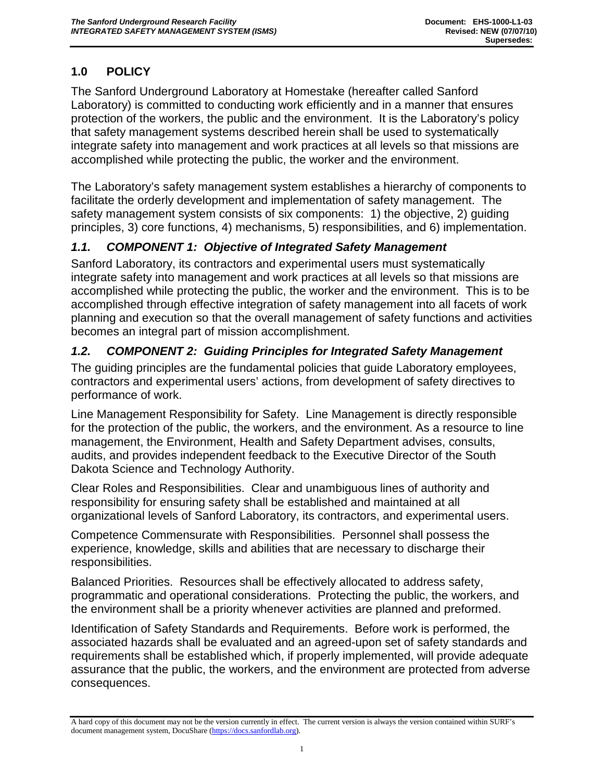# <span id="page-4-0"></span>**1.0 POLICY**

The Sanford Underground Laboratory at Homestake (hereafter called Sanford Laboratory) is committed to conducting work efficiently and in a manner that ensures protection of the workers, the public and the environment. It is the Laboratory's policy that safety management systems described herein shall be used to systematically integrate safety into management and work practices at all levels so that missions are accomplished while protecting the public, the worker and the environment.

The Laboratory's safety management system establishes a hierarchy of components to facilitate the orderly development and implementation of safety management. The safety management system consists of six components: 1) the objective, 2) guiding principles, 3) core functions, 4) mechanisms, 5) responsibilities, and 6) implementation.

## <span id="page-4-1"></span>*1.1. COMPONENT 1: Objective of Integrated Safety Management*

Sanford Laboratory, its contractors and experimental users must systematically integrate safety into management and work practices at all levels so that missions are accomplished while protecting the public, the worker and the environment. This is to be accomplished through effective integration of safety management into all facets of work planning and execution so that the overall management of safety functions and activities becomes an integral part of mission accomplishment.

### <span id="page-4-2"></span>*1.2. COMPONENT 2: Guiding Principles for Integrated Safety Management*

The guiding principles are the fundamental policies that guide Laboratory employees, contractors and experimental users' actions, from development of safety directives to performance of work.

Line Management Responsibility for Safety. Line Management is directly responsible for the protection of the public, the workers, and the environment. As a resource to line management, the Environment, Health and Safety Department advises, consults, audits, and provides independent feedback to the Executive Director of the South Dakota Science and Technology Authority.

Clear Roles and Responsibilities. Clear and unambiguous lines of authority and responsibility for ensuring safety shall be established and maintained at all organizational levels of Sanford Laboratory, its contractors, and experimental users.

Competence Commensurate with Responsibilities. Personnel shall possess the experience, knowledge, skills and abilities that are necessary to discharge their responsibilities.

Balanced Priorities. Resources shall be effectively allocated to address safety, programmatic and operational considerations. Protecting the public, the workers, and the environment shall be a priority whenever activities are planned and preformed.

Identification of Safety Standards and Requirements. Before work is performed, the associated hazards shall be evaluated and an agreed-upon set of safety standards and requirements shall be established which, if properly implemented, will provide adequate assurance that the public, the workers, and the environment are protected from adverse consequences.

A hard copy of this document may not be the version currently in effect. The current version is always the version contained within SURF's document management system, DocuShare [\(https://docs.sanfordlab.org\)](https://docs.sanfordlab.org/).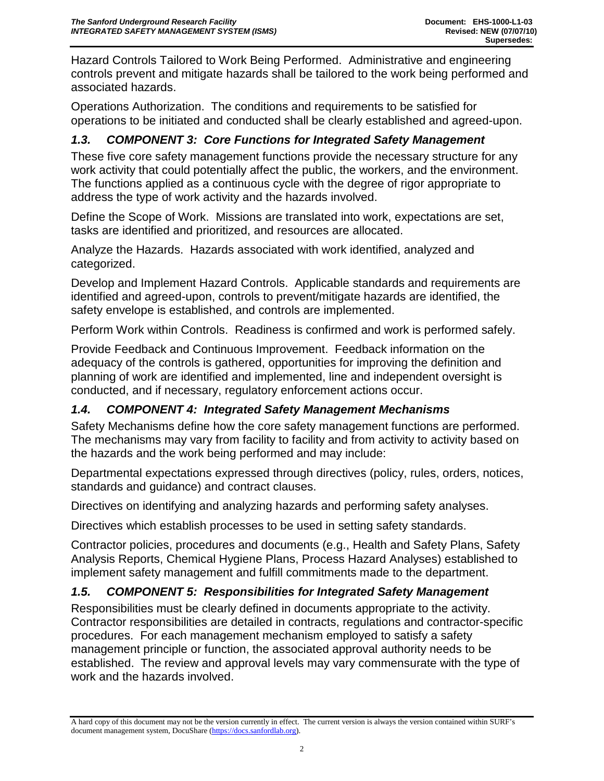Hazard Controls Tailored to Work Being Performed. Administrative and engineering controls prevent and mitigate hazards shall be tailored to the work being performed and associated hazards.

Operations Authorization. The conditions and requirements to be satisfied for operations to be initiated and conducted shall be clearly established and agreed-upon.

# <span id="page-5-0"></span>*1.3. COMPONENT 3: Core Functions for Integrated Safety Management*

These five core safety management functions provide the necessary structure for any work activity that could potentially affect the public, the workers, and the environment. The functions applied as a continuous cycle with the degree of rigor appropriate to address the type of work activity and the hazards involved.

Define the Scope of Work. Missions are translated into work, expectations are set, tasks are identified and prioritized, and resources are allocated.

Analyze the Hazards. Hazards associated with work identified, analyzed and categorized.

Develop and Implement Hazard Controls. Applicable standards and requirements are identified and agreed-upon, controls to prevent/mitigate hazards are identified, the safety envelope is established, and controls are implemented.

Perform Work within Controls. Readiness is confirmed and work is performed safely.

Provide Feedback and Continuous Improvement. Feedback information on the adequacy of the controls is gathered, opportunities for improving the definition and planning of work are identified and implemented, line and independent oversight is conducted, and if necessary, regulatory enforcement actions occur.

## <span id="page-5-1"></span>*1.4. COMPONENT 4: Integrated Safety Management Mechanisms*

Safety Mechanisms define how the core safety management functions are performed. The mechanisms may vary from facility to facility and from activity to activity based on the hazards and the work being performed and may include:

Departmental expectations expressed through directives (policy, rules, orders, notices, standards and guidance) and contract clauses.

Directives on identifying and analyzing hazards and performing safety analyses.

Directives which establish processes to be used in setting safety standards.

Contractor policies, procedures and documents (e.g., Health and Safety Plans, Safety Analysis Reports, Chemical Hygiene Plans, Process Hazard Analyses) established to implement safety management and fulfill commitments made to the department.

## <span id="page-5-2"></span>*1.5. COMPONENT 5: Responsibilities for Integrated Safety Management*

Responsibilities must be clearly defined in documents appropriate to the activity. Contractor responsibilities are detailed in contracts, regulations and contractor-specific procedures. For each management mechanism employed to satisfy a safety management principle or function, the associated approval authority needs to be established. The review and approval levels may vary commensurate with the type of work and the hazards involved.

A hard copy of this document may not be the version currently in effect. The current version is always the version contained within SURF's document management system, DocuShare [\(https://docs.sanfordlab.org\)](https://docs.sanfordlab.org/).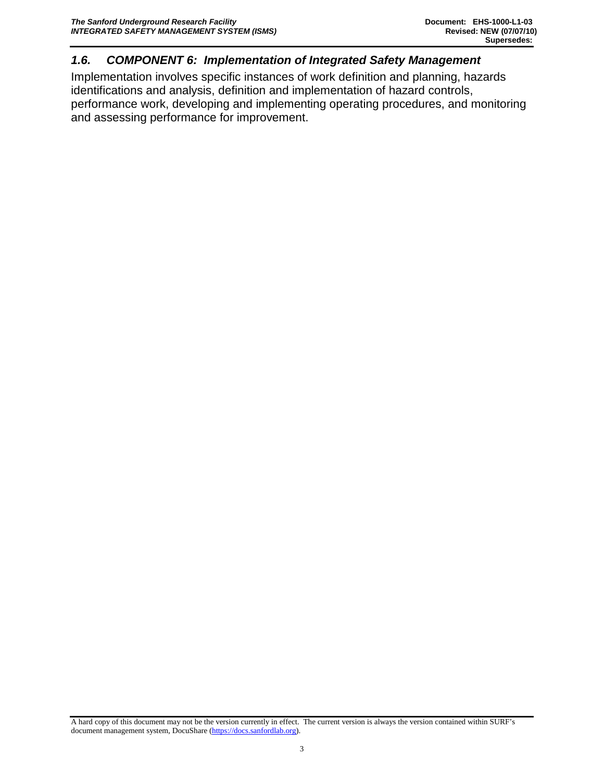#### <span id="page-6-0"></span>*1.6. COMPONENT 6: Implementation of Integrated Safety Management*

Implementation involves specific instances of work definition and planning, hazards identifications and analysis, definition and implementation of hazard controls, performance work, developing and implementing operating procedures, and monitoring and assessing performance for improvement.

A hard copy of this document may not be the version currently in effect. The current version is always the version contained within SURF's document management system, DocuShare [\(https://docs.sanfordlab.org\)](https://docs.sanfordlab.org/).